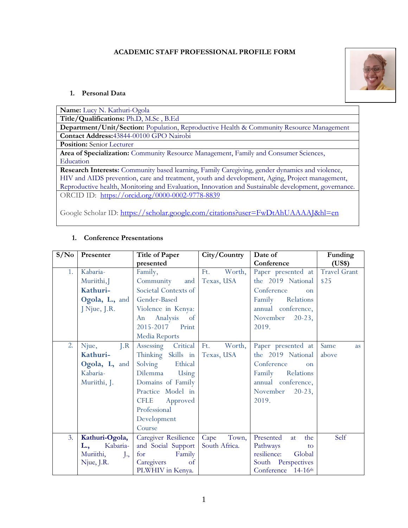### **ACADEMIC STAFF PROFESSIONAL PROFILE FORM**



### **1. Personal Data**

| <b>Name:</b> Lucy N. Kathuri-Ogola                                                                  |
|-----------------------------------------------------------------------------------------------------|
| Title/Qualifications: Ph.D, M.Sc, B.Ed                                                              |
| Department/Unit/Section: Population, Reproductive Health & Community Resource Management            |
| Contact Address: 43844-00100 GPO Nairobi                                                            |
| <b>Position:</b> Senior Lecturer                                                                    |
| Area of Specialization: Community Resource Management, Family and Consumer Sciences,                |
| Education                                                                                           |
| Research Interests: Community based learning, Family Caregiving, gender dynamics and violence,      |
| HIV and AIDS prevention, care and treatment, youth and development, Aging, Project management,      |
| Reproductive health, Monitoring and Evaluation, Innovation and Sustainable development, governance. |
| ORCID ID: https://orcid.org/0000-0002-9778-8839                                                     |

Google Scholar ID: <https://scholar.google.com/citations?user=FwDtAhUAAAAJ&hl=en>

| S/N <sub>0</sub> | Presenter              | <b>Title of Paper</b>   | City/Country  | Date of                     | Funding             |
|------------------|------------------------|-------------------------|---------------|-----------------------------|---------------------|
|                  |                        | presented               |               | Conference                  | (US\$)              |
| 1.               | Kabaria-               | Family,                 | Ft.<br>Worth, | Paper presented at          | <b>Travel Grant</b> |
|                  | Muriithi, J            | Community<br>and        | Texas, USA    | the 2019 National           | \$25                |
|                  | Kathuri-               | Societal Contexts of    |               | Conference<br><sub>on</sub> |                     |
|                  | Ogola, L., and         | Gender-Based            |               | Family<br>Relations         |                     |
|                  | J Njue, J.R.           | Violence in Kenya:      |               | annual conference,          |                     |
|                  |                        | Analysis<br>An<br>of    |               | November<br>$20-23,$        |                     |
|                  |                        | 2015-2017<br>Print      |               | 2019.                       |                     |
|                  |                        | Media Reports           |               |                             |                     |
| 2.               | J.R<br>Njue,           | Assessing Critical      | Ft.<br>Worth, | Paper presented at          | Same<br><i>as</i>   |
|                  | Kathuri-               | Thinking Skills in      | Texas, USA    | the 2019 National           | above               |
|                  | Ogola, L, and          | Solving<br>Ethical      |               | Conference<br><b>on</b>     |                     |
|                  | Kabaria-               | Dilemma<br>Using        |               | Family<br>Relations         |                     |
|                  | Muriithi, J.           | Domains of Family       |               | annual conference,          |                     |
|                  |                        | Practice Model in       |               | November<br>$20-23,$        |                     |
|                  |                        | <b>CFLE</b><br>Approved |               | 2019.                       |                     |
|                  |                        | Professional            |               |                             |                     |
|                  |                        | Development             |               |                             |                     |
|                  |                        | Course                  |               |                             |                     |
| 3.               | Kathuri-Ogola,         | Caregiver Resilience    | Town,<br>Cape | Presented<br>the<br>at      | Self                |
|                  | Kabaria-<br>L.,        | and Social Support      | South Africa. | Pathways<br>to              |                     |
|                  | Muriithi,<br>$\cdot$ , | Family<br>for           |               | resilience:<br>Global       |                     |
|                  | Njue, J.R.             | Caregivers<br>of        |               | South Perspectives          |                     |
|                  |                        | PLWHIV in Kenya.        |               | Conference 14-16th          |                     |

### **1. Conference Presentations**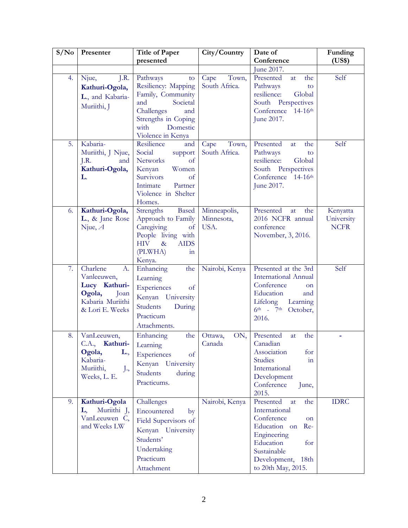| S/No | Presenter                                                                                                          | <b>Title of Paper</b>                                                                                                                                                | City/Country                       | Date of                                                                                                                                                                            | Funding                               |
|------|--------------------------------------------------------------------------------------------------------------------|----------------------------------------------------------------------------------------------------------------------------------------------------------------------|------------------------------------|------------------------------------------------------------------------------------------------------------------------------------------------------------------------------------|---------------------------------------|
|      |                                                                                                                    | presented                                                                                                                                                            |                                    | Conference                                                                                                                                                                         | (US\$)                                |
|      |                                                                                                                    |                                                                                                                                                                      |                                    | June 2017.                                                                                                                                                                         |                                       |
| 4.   | J.R.<br>Njue,<br>Kathuri-Ogola,<br>L., and Kabaria-<br>Muriithi, J                                                 | Pathways<br>to<br>Resiliency: Mapping<br>Family, Community<br>and<br>Societal<br>Challenges<br>and<br>Strengths in Coping<br>with<br>Domestic<br>Violence in Kenya   | Town,<br>Cape<br>South Africa.     | Presented<br>the<br>at<br>Pathways<br>to<br>Global<br>resilience:<br>South Perspectives<br>Conference 14-16th<br>June 2017.                                                        | Self                                  |
| 5.   | Kabaria-<br>Muriithi, J Njue,<br>J.R.<br>and<br>Kathuri-Ogola,<br>L.                                               | Resilience<br>and<br>Social<br>support<br><b>Networks</b><br>of<br>Women<br>Kenyan<br>Survivors<br>of<br>Intimate<br>Partner<br>Violence in Shelter<br>Homes.        | Town,<br>Cape<br>South Africa.     | Presented<br>the<br>at<br>Pathways<br>to<br>resilience:<br>Global<br>South Perspectives<br>Conference 14-16th<br>June 2017.                                                        | Self                                  |
| 6.   | Kathuri-Ogola,<br>L., & Jane Rose<br>Njue, $A$                                                                     | Strengths<br>Based<br>Approach to Family<br>Caregiving<br>$\sigma$<br>People living with<br><b>HIV</b><br><b>AIDS</b><br>$\&$<br>(PLWHA)<br>$\overline{m}$<br>Kenya. | Minneapolis,<br>Minnesota,<br>USA. | Presented<br>the<br>at<br>2016 NCFR annual<br>conference<br>November, 3, 2016.                                                                                                     | Kenyatta<br>University<br><b>NCFR</b> |
| 7.   | Charlene<br>A.<br>Vanleeuwen,<br>Lucy Kathuri-<br>Ogola,<br>Joan<br>Kabaria Muriithi<br>& Lori E. Weeks            | Enhancing<br>the<br>Learning<br>Experiences<br>of<br>Kenyan University<br>Students<br>During<br>Practicum<br>Attachments.                                            | Nairobi, Kenya                     | Presented at the 3rd<br><b>International Annual</b><br>Conference<br>on<br>Education<br>and<br>Lifelong<br>Learning<br>6th - 7th October,<br>2016.                                 | Self                                  |
| 8.   | VanLeeuwen,<br>C.A., Kathuri- Learning<br>Ogola,<br>L.,<br>Kabaria-<br>Muriithi,<br>J <sub>1</sub><br>Weeks, L. E. | Enhancing<br>the<br>Experiences<br>of<br>Kenyan<br>University<br>Students<br>during<br>Practicums.                                                                   | ON,<br>Ottawa,<br>Canada           | Presented<br>the<br>at<br>Canadian<br>Association<br>for<br><b>Studies</b><br>1n<br>International<br>Development<br>Conference<br>June,<br>2015.                                   |                                       |
| 9.   | Kathuri-Ogola<br>Muriithi J,<br>L,<br>VanLeeuwen C,<br>and Weeks LW                                                | Challenges<br>Encountered<br>by<br>Field Supervisors of<br>Kenyan University<br>Students'<br>Undertaking<br>Practicum<br>Attachment                                  | Nairobi, Kenya                     | Presented<br>the<br>at<br>International<br>Conference<br>on<br>Education on<br>Re-<br>Engineering<br>Education<br>for<br>Sustainable<br>Development,<br>18th<br>to 20th May, 2015. | <b>IDRC</b>                           |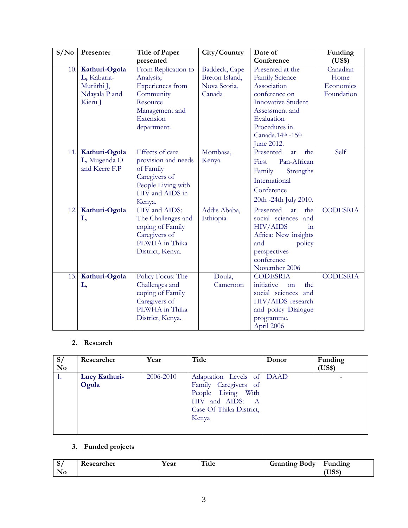| S/N <sub>0</sub> | Presenter                                                               | <b>Title of Paper</b>                                                                                                                                                                                                                     | City/Country                                              | Date of                                                                                                                                                                                                                                                                                            | Funding                                     |
|------------------|-------------------------------------------------------------------------|-------------------------------------------------------------------------------------------------------------------------------------------------------------------------------------------------------------------------------------------|-----------------------------------------------------------|----------------------------------------------------------------------------------------------------------------------------------------------------------------------------------------------------------------------------------------------------------------------------------------------------|---------------------------------------------|
|                  |                                                                         | presented                                                                                                                                                                                                                                 |                                                           | Conference                                                                                                                                                                                                                                                                                         | (US\$)                                      |
| 10.              | Kathuri-Ogola<br>L, Kabaria-<br>Muriithi J,<br>Ndayala P and<br>Kieru J | From Replication to<br>Analysis;<br>Experiences from<br>Community<br>Resource<br>Management and<br>Extension<br>department.                                                                                                               | Baddeck, Cape<br>Breton Island,<br>Nova Scotia,<br>Canada | Presented at the<br><b>Family Science</b><br>Association<br>conference on<br><b>Innovative Student</b><br>Assessment and<br>Evaluation<br>Procedures in<br>Canada.14th -15th                                                                                                                       | Canadian<br>Home<br>Economics<br>Foundation |
|                  |                                                                         |                                                                                                                                                                                                                                           |                                                           | June 2012.                                                                                                                                                                                                                                                                                         |                                             |
| 11.<br>12.       | Kathuri-Ogola<br>L, Mugenda O<br>and Kerre F.P<br>Kathuri-Ogola<br>L,   | Effects of care<br>provision and needs<br>of Family<br>Caregivers of<br>People Living with<br>HIV and AIDS in<br>Kenya.<br>HIV and AIDS:<br>The Challenges and<br>coping of Family<br>Caregivers of<br>PLWHA in Thika<br>District, Kenya. | Mombasa,<br>Kenya.<br>Addis Ababa,<br>Ethiopia            | the<br>Presented<br>at<br>Pan-African<br>First<br>Family<br>Strengths<br>International<br>Conference<br>20th -24th July 2010.<br>Presented<br>the<br>at<br>social sciences<br>and<br><b>HIV/AIDS</b><br>1n<br>Africa: New insights<br>and<br>policy<br>perspectives<br>conference<br>November 2006 | Self<br><b>CODESRIA</b>                     |
| 13.              | Kathuri-Ogola<br>L,                                                     | Policy Focus: The<br>Challenges and<br>coping of Family<br>Caregivers of<br>PLWHA in Thika<br>District, Kenya.                                                                                                                            | Doula,<br>Cameroon                                        | <b>CODESRIA</b><br>initiative<br>the<br><sub>on</sub><br>social sciences and<br>HIV/AIDS research<br>and policy Dialogue<br>programme.<br>April 2006                                                                                                                                               | <b>CODESRIA</b>                             |

### **2. Research**

| S/<br>N <sub>0</sub> | Researcher    | Year      | Title                                                                                             | Donor | Funding<br>(US\$) |
|----------------------|---------------|-----------|---------------------------------------------------------------------------------------------------|-------|-------------------|
| 1.                   | Lucy Kathuri- | 2006-2010 | Adaptation Levels of DAAD                                                                         |       |                   |
|                      | Ogola         |           | Family Caregivers of<br>People Living With<br>HIV and AIDS: A<br>Case Of Thika District,<br>Kenya |       |                   |

# **3. Funded projects**

| ັ        | $\overline{\phantom{a}}$<br>∙h≙r<br>___ | $. \n\rightharpoonup$<br>Саі | $\sim$<br><b>THE</b> | 30dv<br>--------- | <br>unding<br>-<br>and the control of |
|----------|-----------------------------------------|------------------------------|----------------------|-------------------|---------------------------------------|
| N<br>TAN |                                         |                              |                      |                   | $\sim$ 0.0 $\sim$<br>. പാര            |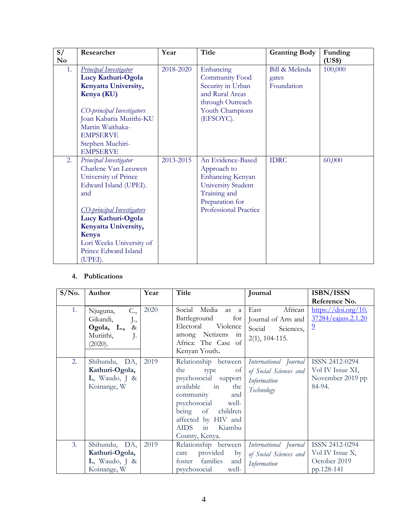| S/       | Researcher                        | Year      | <b>Title</b>          | <b>Granting Body</b> | Funding |
|----------|-----------------------------------|-----------|-----------------------|----------------------|---------|
| $\bf No$ |                                   |           |                       |                      | (US\$)  |
| 1.       | <b>Principal Investigator</b>     | 2018-2020 | Enhancing             | Bill & Melinda       | 100,000 |
|          | Lucy Kathuri-Ogola                |           | Community Food        | gates                |         |
|          | Kenyatta University,              |           | Security in Urban     | Foundation           |         |
|          | Kenya (KU)                        |           | and Rural Areas       |                      |         |
|          |                                   |           | through Outreach      |                      |         |
|          | CO-principal Investigators        |           | Youth Champions       |                      |         |
|          | Joan Kabaria Murithi-KU           |           | (EFSOYC).             |                      |         |
|          | Martin Waithaka-                  |           |                       |                      |         |
|          | <b>EMPSERVE</b>                   |           |                       |                      |         |
|          | Stephen Muchiri-                  |           |                       |                      |         |
|          | <b>EMPSERVE</b>                   |           |                       |                      |         |
| 2.       | Principal Investigator            | 2013-2015 | An Evidence-Based     | <b>IDRC</b>          | 60,000  |
|          | Charlene Van Leeuwen              |           | Approach to           |                      |         |
|          | University of Prince              |           | Enhancing Kenyan      |                      |         |
|          | Edward Island (UPEI).             |           | University Student    |                      |         |
|          | and                               |           | Training and          |                      |         |
|          |                                   |           | Preparation for       |                      |         |
|          | <u>CO-principal Investigators</u> |           | Professional Practice |                      |         |
|          | Lucy Kathuri-Ogola                |           |                       |                      |         |
|          | Kenyatta University,              |           |                       |                      |         |
|          | Kenya                             |           |                       |                      |         |
|          | Lori Weeks University of          |           |                       |                      |         |
|          | Prince Edward Island              |           |                       |                      |         |
|          | (UPEI).                           |           |                       |                      |         |

## **4. Publications**

| $S/N0$ . | Author                                                                                          | Year | Title                                                                                                                                                                                                              | Journal                                                                        | ISBN/ISSN                                                                                                                 |
|----------|-------------------------------------------------------------------------------------------------|------|--------------------------------------------------------------------------------------------------------------------------------------------------------------------------------------------------------------------|--------------------------------------------------------------------------------|---------------------------------------------------------------------------------------------------------------------------|
| 1.       | C.,<br>Njuguna,<br>Gikandi,<br>$J1$ ,<br>Ogola, L., &<br>Muriithi,<br>$\mathbf{J}$ .<br>(2020). | 2020 | Social<br>Media<br>as<br><sub>a</sub><br>for<br>Battleground<br>Electoral Violence<br>among Netizens in<br>Africa: The Case of<br>Kenyan Youth.                                                                    | African<br>East<br>Journal of Arts and<br>Social Sciences,<br>$2(1), 104-115.$ | Reference No.<br>$\frac{\text{https://doi.org/10.}}{\text{https://doi.org/10.}}$<br>37284/eajass.2.1.20<br>$\overline{2}$ |
| 2.       | Shihundu, DA,<br>Kathuri-Ogola,<br>$L$ , Waudo, J &<br>Koinange, W                              | 2019 | Relationship between<br>the<br>type<br>of<br>psychosocial support<br>available in<br>the<br>community<br>and<br>psychosocial well-<br>being of children<br>affected by HIV and<br>AIDS in Kiambu<br>County, Kenya. | International Journal<br>of Social Sciences and<br>Information<br>Technology   | ISSN 2412-0294<br>Vol IV Issue XI,<br>November 2019 pp<br>84-94.                                                          |
| 3.       | Shihundu, DA,<br>Kathuri-Ogola,<br>$L$ , Waudo, J &<br>Koinange, W                              | 2019 | Relationship between<br>provided<br>by<br>care<br>foster families<br>and<br>psychosocial<br>well-                                                                                                                  | International Journal<br>of Social Sciences and<br>Information                 | ISSN 2412-0294<br>Vol IV Issue X,<br>October 2019<br>pp.128-141                                                           |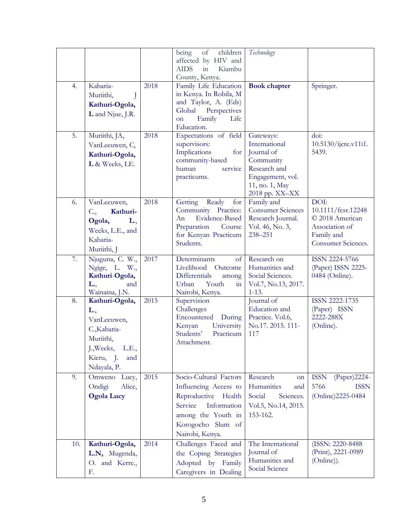| 4.  | Kabaria-<br>Muriithi,<br>J<br>Kathuri-Ogola,<br>L and Njue, J.R.                                                            | 2018 | being<br>$\circ$ f<br>children<br>affected by HIV and<br><b>AIDS</b><br>Kiambu<br>$\sin$<br>County, Kenya.<br>Family Life Education<br>in Kenya. In Robila, M<br>and Taylor, A. (Eds)<br>Global Perspectives<br>Family<br>Life<br>on<br>Education. | Technology<br><b>Book chapter</b>                                                                                             | Springer.                                                                                           |
|-----|-----------------------------------------------------------------------------------------------------------------------------|------|----------------------------------------------------------------------------------------------------------------------------------------------------------------------------------------------------------------------------------------------------|-------------------------------------------------------------------------------------------------------------------------------|-----------------------------------------------------------------------------------------------------|
| 5.  | Muriithi, JA,<br>VanLeeuwen, C,<br>Kathuri-Ogola,<br>L & Weeks, LE.                                                         | 2018 | Expectations of field<br>supervisors:<br>Implications<br>for<br>community-based<br>human<br>service<br>practicums.                                                                                                                                 | Gateways:<br>International<br>Journal of<br>Community<br>Research and<br>Engagement, vol.<br>11, no. 1, May<br>2018 pp. XX-XX | doi:<br>10.5130/ijcre.v11i1.<br>5439.                                                               |
| 6.  | VanLeeuwen,<br>Kathuri-<br>C.,<br>Ogola,<br>L.,<br>Weeks, L.E., and<br>Kabaria-<br>Muriithi, J                              | 2018 | Ready<br>Getting<br>for<br>Community Practice:<br><b>Evidence-Based</b><br>An<br>Preparation Course<br>for Kenyan Practicum<br>Students.                                                                                                           | Family and<br><b>Consumer Sciences</b><br>Research Journal.<br>Vol. 46, No. 3,<br>238-251                                     | DOI:<br>10.1111/fcsr.12248<br>© 2018 American<br>Association of<br>Family and<br>Consumer Sciences. |
| 7.  | Njuguna, C. W.,<br>Ngige, L. W.,<br>Kathuri-Ogola,<br>and<br>L.,<br>Wainaina, J.N.                                          | 2017 | Determinants<br>of<br>Livelihood Outcome<br>Differentials<br>among<br>Youth<br>Urban<br>in<br>Nairobi, Kenya.                                                                                                                                      | Research on<br>Humanities and<br>Social Sciences.<br>Vol.7, No.13, 2017.<br>$1 - 13.$                                         | ISSN 2224-5766<br>(Paper) ISSN 2225-<br>0484 (Online).                                              |
| 8.  | Kathuri-Ogola,<br>L.,<br>VanLeeuwen,<br>C., Kabaria-<br>Muriithi,<br>J., Weeks,<br>L.E.,<br>Kieru, J.<br>and<br>Ndayala, P. | 2015 | Supervision<br>Challenges<br>Encountered<br>During<br>University<br>Kenyan<br>Students'<br>Practicum<br>Attachment.                                                                                                                                | Journal of<br>Education and<br>Practice. Vol.6,<br>No.17. 2015. 111-<br>117                                                   | ISSN 2222-1735<br>(Paper) ISSN<br>2222-288X<br>(Online).                                            |
| 9.  | Omweno Lucy,<br>Ondigi<br>Alice,<br><b>Ogola Lucy</b>                                                                       | 2015 | Socio-Cultural Factors<br>Influencing Access to<br>Reproductive Health<br>Service<br>Information<br>among the Youth in<br>Korogocho Slum of<br>Nairobi, Kenya.                                                                                     | Research<br>on<br>Humanities<br>and<br>Social<br>Sciences.<br>Vol.5, No.14, 2015.<br>153-162.                                 | <b>ISSN</b><br>(Paper) 2224-<br>5766<br><b>ISSN</b><br>(Online)2225-0484                            |
| 10. | Kathuri-Ogola,<br>L.N, Mugenda,<br>O. and Kerre.,<br>F.                                                                     | 2014 | Challenges Faced and<br>the Coping Strategies<br>Adopted by Family<br>Caregivers in Dealing                                                                                                                                                        | The International<br>Journal of<br>Humanities and<br>Social Science                                                           | (ISSN: 2220-8488)<br>(Print), 2221-0989<br>(Online)).                                               |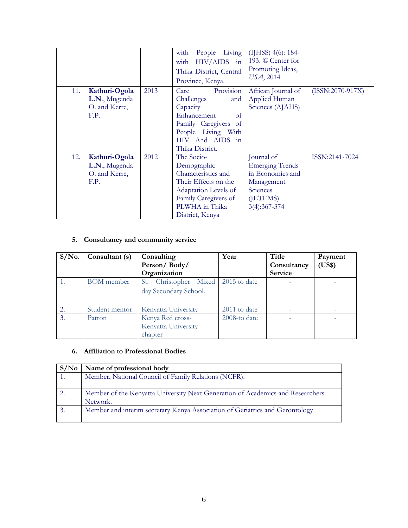|     |                                                         |      | People Living<br>with<br>$HIV/AIDS$ in<br>with<br>Thika District, Central<br>Province, Kenya.                                                                             | (IJHSS) 4(6): 184-<br>193. © Center for<br>Promoting Ideas,<br>USA, 2014                                         |                    |
|-----|---------------------------------------------------------|------|---------------------------------------------------------------------------------------------------------------------------------------------------------------------------|------------------------------------------------------------------------------------------------------------------|--------------------|
| 11. | Kathuri-Ogola<br>L.N., Mugenda<br>O. and Kerre,<br>F.P. | 2013 | Provision<br>Care<br>Challenges<br>and<br>Capacity<br>Enhancement<br>of<br>Family Caregivers<br>-of<br>People Living With<br>And AIDS in<br><b>HIV</b><br>Thika District. | African Journal of<br>Applied Human<br>Sciences (AJAHS)                                                          | $(ISSN:2070-917X)$ |
| 12. | Kathuri-Ogola<br>L.N., Mugenda<br>O. and Kerre,<br>F.P. | 2012 | The Socio-<br>Demographic<br>Characteristics and<br>Their Effects on the<br>Adaptation Levels of<br>Family Caregivers of<br>PLWHA in Thika<br>District, Kenya             | Journal of<br><b>Emerging Trends</b><br>in Economics and<br>Management<br>Sciences<br>(JETEMS)<br>$3(4):367-374$ | ISSN:2141-7024     |

# **5. Consultancy and community service**

| $S/N0$ .         | Consultant (s)    | Consulting            | Year         | Title          | Payment |
|------------------|-------------------|-----------------------|--------------|----------------|---------|
|                  |                   | Person/Body/          |              | Consultancy    | (US\$)  |
|                  |                   | Organization          |              | <b>Service</b> |         |
| 1.               | <b>BOM</b> member | St. Christopher Mixed | 2015 to date |                |         |
|                  |                   | day Secondary School. |              |                |         |
| 2.               | Student mentor    | Kenyatta University   | 2011 to date |                |         |
| $\mathfrak{Z}$ . | Patron            | Kenya Red cross-      | 2008-to date |                |         |
|                  |                   | Kenyatta University   |              |                |         |
|                  |                   | chapter               |              |                |         |

# **6. Affiliation to Professional Bodies**

| S/No          | Name of professional body                                                      |
|---------------|--------------------------------------------------------------------------------|
|               | Member, National Council of Family Relations (NCFR).                           |
|               |                                                                                |
| <sup>2.</sup> | Member of the Kenyatta University Next Generation of Academics and Researchers |
|               | Network.                                                                       |
| 3.            | Member and interim secretary Kenya Association of Geriatrics and Gerontology   |
|               |                                                                                |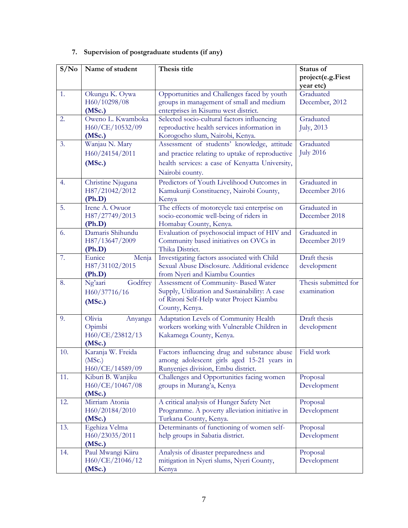| S/No | Name of student                                          | Thesis title                                                                                                                                                         | Status of<br>project(e.g.Fiest           |
|------|----------------------------------------------------------|----------------------------------------------------------------------------------------------------------------------------------------------------------------------|------------------------------------------|
| 1.   | Okungu K. Oywa<br>H60/10298/08<br>(MSc.)                 | Opportunities and Challenges faced by youth<br>groups in management of small and medium<br>enterprises in Kisumu west district.                                      | year etc)<br>Graduated<br>December, 2012 |
| 2.   | Oweno L. Kwamboka<br>H60/CE/10532/09<br>(MSc.)           | Selected socio-cultural factors influencing<br>reproductive health services information in<br>Korogocho slum, Nairobi, Kenya.                                        | Graduated<br>July, 2013                  |
| 3.   | Wanjau N. Mary<br>H60/24154/2011<br>(MSc.)               | Assessment of students' knowledge, attitude<br>and practice relating to uptake of reproductive<br>health services: a case of Kenyatta University,<br>Nairobi county. | Graduated<br><b>July 2016</b>            |
| 4.   | Christine Njuguna<br>H87/21042/2012<br>(Ph.D)            | Predictors of Youth Livelihood Outcomes in<br>Kamukunji Constituency, Nairobi County,<br>Kenya                                                                       | Graduated in<br>December 2016            |
| 5.   | Irene A. Owuor<br>H87/27749/2013<br>(Ph.D)               | The effects of motorcycle taxi enterprise on<br>socio-economic well-being of riders in<br>Homabay County, Kenya.                                                     | Graduated in<br>December 2018            |
| 6.   | Damaris Shihundu<br>H87/13647/2009<br>(Ph.D)             | Evaluation of psychosocial impact of HIV and<br>Community based initiatives on OVCs in<br>Thika District.                                                            | Graduated in<br>December 2019            |
| 7.   | Eunice<br>Menja<br>H87/31102/2015<br>(Ph.D)              | Investigating factors associated with Child<br>Sexual Abuse Disclosure. Additional evidence<br>from Nyeri and Kiambu Counties                                        | Draft thesis<br>development              |
| 8.   | Ng'aari<br>Godfrey<br>H60/37716/16<br>(MSc.)             | Assessment of Community- Based Water<br>Supply, Utilization and Sustainability: A case<br>of Rironi Self-Help water Project Kiambu<br>County, Kenya.                 | Thesis submitted for<br>examination      |
| 9.   | Olivia<br>Anyangu<br>Opimbi<br>H60/CE/23812/13<br>(MSc.) | Adaptation Levels of Community Health<br>workers working with Vulnerable Children in<br>Kakamega County, Kenya.                                                      | Draft thesis<br>development              |
| 10.  | Karanja W. Freida<br>(MSc.)<br>H60/CE/14589/09           | Factors influencing drug and substance abuse<br>among adolescent girls aged 15-21 years in<br>Runyenjes division, Embu district.                                     | Field work                               |
| 11.  | Kiburi B. Wanjiku<br>H60/CE/10467/08<br>(MSc.)           | Challenges and Opportunities facing women<br>groups in Murang'a, Kenya                                                                                               | Proposal<br>Development                  |
| 12.  | Mirriam Atonia<br>H60/20184/2010<br>(MSc.)               | A critical analysis of Hunger Safety Net<br>Programme. A poverty alleviation initiative in<br>Turkana County, Kenya.                                                 | Proposal<br>Development                  |
| 13.  | Egehiza Velma<br>H60/23035/2011<br>(MSc.)                | Determinants of functioning of women self-<br>help groups in Sabatia district.                                                                                       | Proposal<br>Development                  |
| 14.  | Paul Mwangi Kiiru<br>H60/CE/21046/12<br>(MSc.)           | Analysis of disaster preparedness and<br>mitigation in Nyeri slums, Nyeri County,<br>Kenya                                                                           | Proposal<br>Development                  |

# **7. Supervision of postgraduate students (if any)**